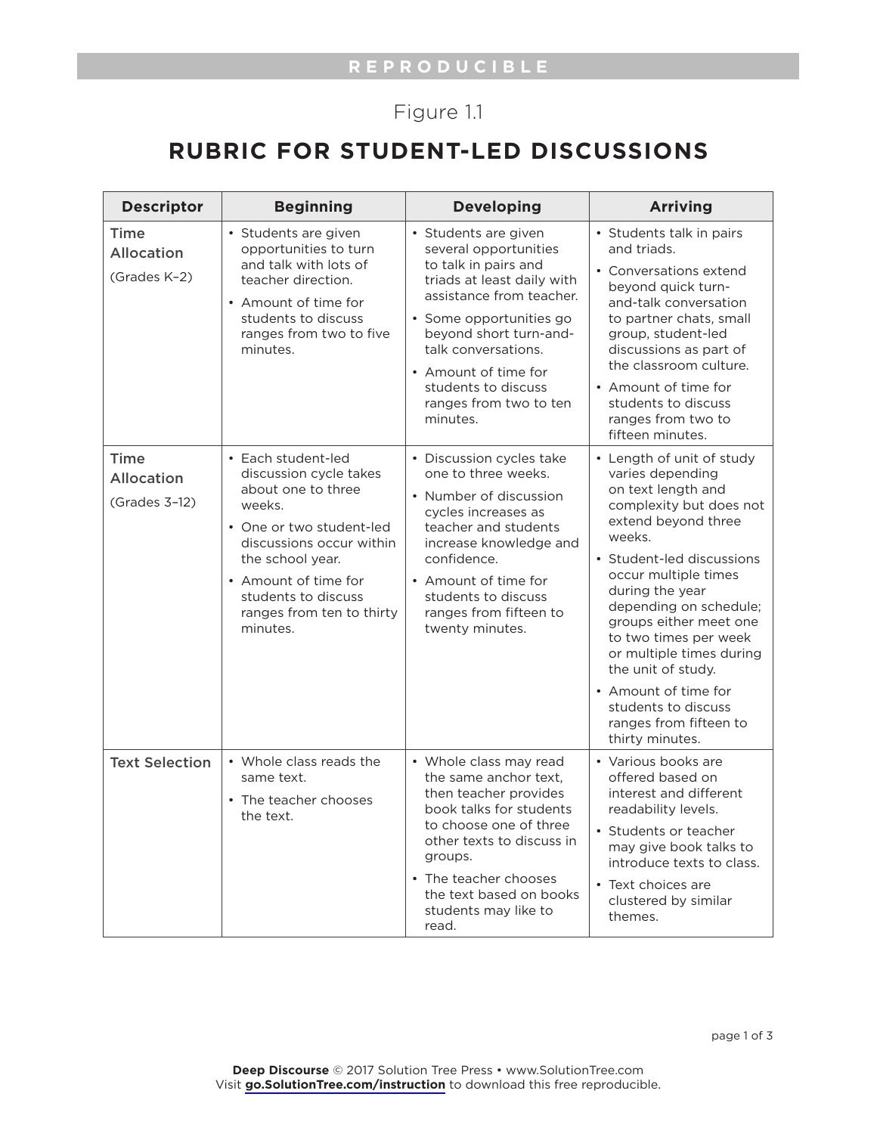## Figure 1.1

## **RUBRIC FOR STUDENT-LED DISCUSSIONS**

| <b>Descriptor</b>                                   | <b>Beginning</b>                                                                                                                                                                                                                                 | <b>Developing</b>                                                                                                                                                                                                                                                                                | <b>Arriving</b>                                                                                                                                                                                                                                                                                                                                                                                                                    |
|-----------------------------------------------------|--------------------------------------------------------------------------------------------------------------------------------------------------------------------------------------------------------------------------------------------------|--------------------------------------------------------------------------------------------------------------------------------------------------------------------------------------------------------------------------------------------------------------------------------------------------|------------------------------------------------------------------------------------------------------------------------------------------------------------------------------------------------------------------------------------------------------------------------------------------------------------------------------------------------------------------------------------------------------------------------------------|
| <b>Time</b><br><b>Allocation</b><br>(Grades K-2)    | · Students are given<br>opportunities to turn<br>and talk with lots of<br>teacher direction.<br>• Amount of time for<br>students to discuss<br>ranges from two to five<br>minutes.                                                               | · Students are given<br>several opportunities<br>to talk in pairs and<br>triads at least daily with<br>assistance from teacher.<br>· Some opportunities go<br>beyond short turn-and-<br>talk conversations.<br>• Amount of time for<br>students to discuss<br>ranges from two to ten<br>minutes. | • Students talk in pairs<br>and triads.<br>• Conversations extend<br>beyond quick turn-<br>and-talk conversation<br>to partner chats, small<br>group, student-led<br>discussions as part of<br>the classroom culture.<br>• Amount of time for<br>students to discuss<br>ranges from two to<br>fifteen minutes.                                                                                                                     |
| <b>Time</b><br><b>Allocation</b><br>$(Grades 3-12)$ | • Each student-led<br>discussion cycle takes<br>about one to three<br>weeks.<br>• One or two student-led<br>discussions occur within<br>the school year.<br>• Amount of time for<br>students to discuss<br>ranges from ten to thirty<br>minutes. | • Discussion cycles take<br>one to three weeks.<br>• Number of discussion<br>cycles increases as<br>teacher and students<br>increase knowledge and<br>confidence.<br>• Amount of time for<br>students to discuss<br>ranges from fifteen to<br>twenty minutes.                                    | • Length of unit of study<br>varies depending<br>on text length and<br>complexity but does not<br>extend beyond three<br>weeks.<br>• Student-led discussions<br>occur multiple times<br>during the year<br>depending on schedule;<br>groups either meet one<br>to two times per week<br>or multiple times during<br>the unit of study.<br>• Amount of time for<br>students to discuss<br>ranges from fifteen to<br>thirty minutes. |
| <b>Text Selection</b>                               | • Whole class reads the<br>same text.<br>• The teacher chooses<br>the text.                                                                                                                                                                      | • Whole class may read<br>the same anchor text,<br>then teacher provides<br>book talks for students<br>to choose one of three<br>other texts to discuss in<br>groups.<br>• The teacher chooses<br>the text based on books<br>students may like to<br>read.                                       | • Various books are<br>offered based on<br>interest and different<br>readability levels.<br>• Students or teacher<br>may give book talks to<br>introduce texts to class.<br>• Text choices are<br>clustered by similar<br>themes.                                                                                                                                                                                                  |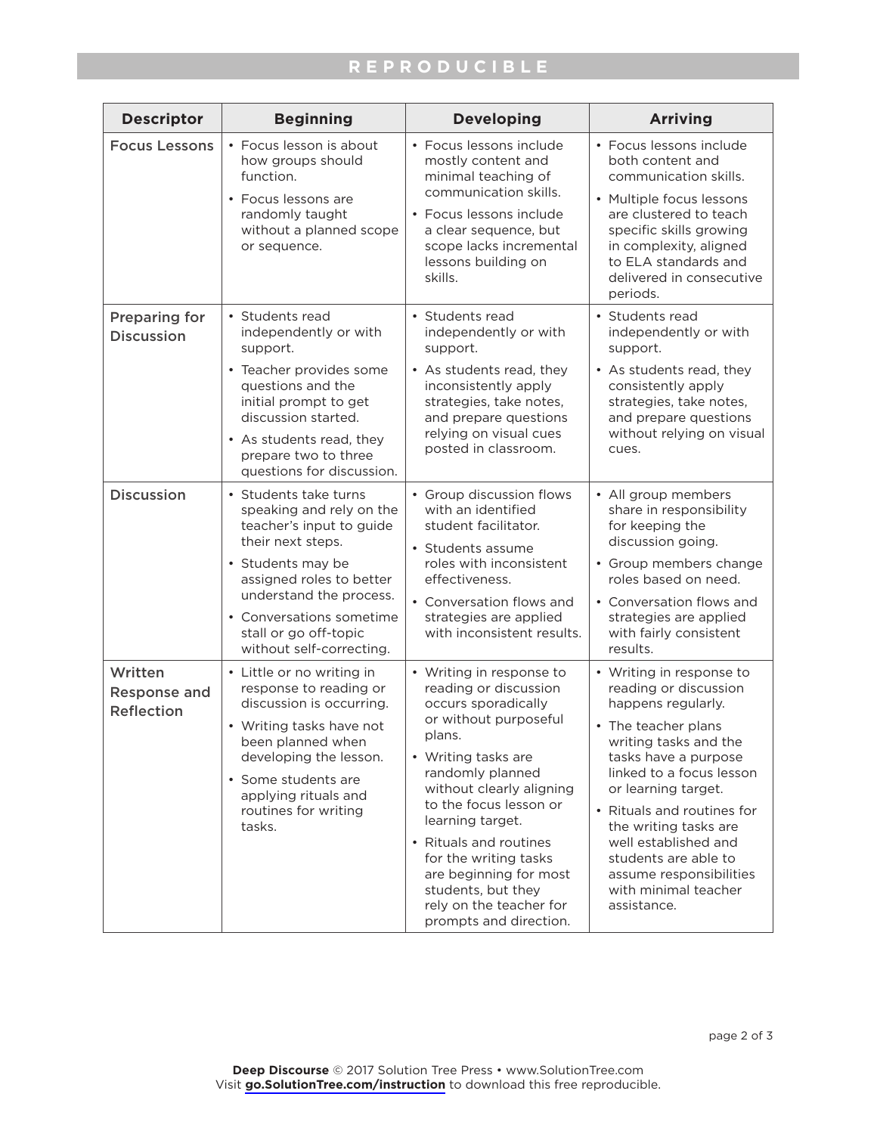## **REPRODUCIBLE**

| <b>Descriptor</b>                                   | <b>Beginning</b>                                                                                                                                                                                                                                                | <b>Developing</b>                                                                                                                                                                                                                                                                                                                                                                        | <b>Arriving</b>                                                                                                                                                                                                                                                                                                                                                             |
|-----------------------------------------------------|-----------------------------------------------------------------------------------------------------------------------------------------------------------------------------------------------------------------------------------------------------------------|------------------------------------------------------------------------------------------------------------------------------------------------------------------------------------------------------------------------------------------------------------------------------------------------------------------------------------------------------------------------------------------|-----------------------------------------------------------------------------------------------------------------------------------------------------------------------------------------------------------------------------------------------------------------------------------------------------------------------------------------------------------------------------|
| <b>Focus Lessons</b>                                | • Focus lesson is about<br>how groups should<br>function.<br>• Focus lessons are<br>randomly taught<br>without a planned scope<br>or sequence.                                                                                                                  | • Focus lessons include<br>mostly content and<br>minimal teaching of<br>communication skills.<br>• Focus lessons include<br>a clear sequence, but<br>scope lacks incremental<br>lessons building on<br>skills.                                                                                                                                                                           | • Focus lessons include<br>both content and<br>communication skills.<br>• Multiple focus lessons<br>are clustered to teach<br>specific skills growing<br>in complexity, aligned<br>to ELA standards and<br>delivered in consecutive<br>periods.                                                                                                                             |
| <b>Preparing for</b><br><b>Discussion</b>           | • Students read<br>independently or with<br>support.<br>• Teacher provides some<br>questions and the<br>initial prompt to get<br>discussion started.<br>• As students read, they<br>prepare two to three<br>questions for discussion.                           | • Students read<br>independently or with<br>support.<br>• As students read, they<br>inconsistently apply<br>strategies, take notes,<br>and prepare questions<br>relying on visual cues<br>posted in classroom.                                                                                                                                                                           | • Students read<br>independently or with<br>support.<br>• As students read, they<br>consistently apply<br>strategies, take notes,<br>and prepare questions<br>without relying on visual<br>cues.                                                                                                                                                                            |
| <b>Discussion</b>                                   | • Students take turns<br>speaking and rely on the<br>teacher's input to guide<br>their next steps.<br>• Students may be<br>assigned roles to better<br>understand the process.<br>• Conversations sometime<br>stall or go off-topic<br>without self-correcting. | • Group discussion flows<br>with an identified<br>student facilitator.<br>• Students assume<br>roles with inconsistent<br>effectiveness.<br>• Conversation flows and<br>strategies are applied<br>with inconsistent results.                                                                                                                                                             | • All group members<br>share in responsibility<br>for keeping the<br>discussion going.<br>• Group members change<br>roles based on need.<br>• Conversation flows and<br>strategies are applied<br>with fairly consistent<br>results.                                                                                                                                        |
| Written<br><b>Response and</b><br><b>Reflection</b> | • Little or no writing in<br>response to reading or<br>discussion is occurring.<br>• Writing tasks have not<br>been planned when<br>developing the lesson.<br>• Some students are<br>applying rituals and<br>routines for writing<br>tasks.                     | • Writing in response to<br>reading or discussion<br>occurs sporadically<br>or without purposeful<br>plans.<br>• Writing tasks are<br>randomly planned<br>without clearly aligning<br>to the focus lesson or<br>learning target.<br>• Rituals and routines<br>for the writing tasks<br>are beginning for most<br>students, but they<br>rely on the teacher for<br>prompts and direction. | • Writing in response to<br>reading or discussion<br>happens regularly.<br>• The teacher plans<br>writing tasks and the<br>tasks have a purpose<br>linked to a focus lesson<br>or learning target.<br>• Rituals and routines for<br>the writing tasks are<br>well established and<br>students are able to<br>assume responsibilities<br>with minimal teacher<br>assistance. |